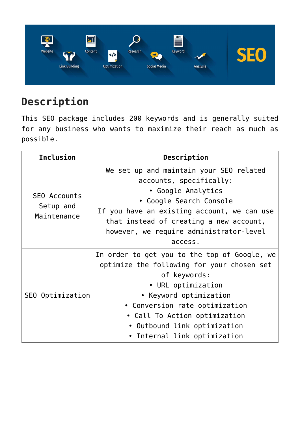

## **Description**

This SEO package includes 200 keywords and is generally suited for any business who wants to maximize their reach as much as possible.

| <b>Inclusion</b>                                | Description                                                                                                                                                                                                                                                                                   |
|-------------------------------------------------|-----------------------------------------------------------------------------------------------------------------------------------------------------------------------------------------------------------------------------------------------------------------------------------------------|
| <b>SEO Accounts</b><br>Setup and<br>Maintenance | We set up and maintain your SEO related<br>accounts, specifically:<br>• Google Analytics<br>• Google Search Console<br>If you have an existing account, we can use<br>that instead of creating a new account,<br>however, we require administrator-level<br>access.                           |
| SEO Optimization                                | In order to get you to the top of Google, we<br>optimize the following for your chosen set<br>of keywords:<br>• URL optimization<br>• Keyword optimization<br>• Conversion rate optimization<br>• Call To Action optimization<br>• Outbound link optimization<br>• Internal link optimization |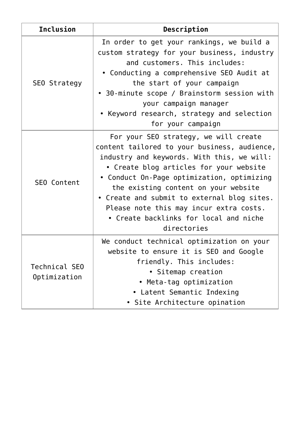| <b>Inclusion</b>              | Description                                                                                                                                                                                                                                                                                                                                                                                                             |
|-------------------------------|-------------------------------------------------------------------------------------------------------------------------------------------------------------------------------------------------------------------------------------------------------------------------------------------------------------------------------------------------------------------------------------------------------------------------|
| SEO Strategy                  | In order to get your rankings, we build a<br>custom strategy for your business, industry<br>and customers. This includes:<br>• Conducting a comprehensive SEO Audit at<br>the start of your campaign<br>• 30-minute scope / Brainstorm session with<br>your campaign manager<br>Keyword research, strategy and selection<br>for your campaign                                                                           |
| SEO Content                   | For your SEO strategy, we will create<br>content tailored to your business, audience,<br>industry and keywords. With this, we will:<br>• Create blog articles for your website<br>• Conduct On-Page optimization, optimizing<br>the existing content on your website<br>• Create and submit to external blog sites.<br>Please note this may incur extra costs.<br>• Create backlinks for local and niche<br>directories |
| Technical SEO<br>Optimization | We conduct technical optimization on your<br>website to ensure it is SEO and Google<br>friendly. This includes:<br>• Sitemap creation<br>• Meta-tag optimization<br>• Latent Semantic Indexing<br>• Site Architecture opination                                                                                                                                                                                         |